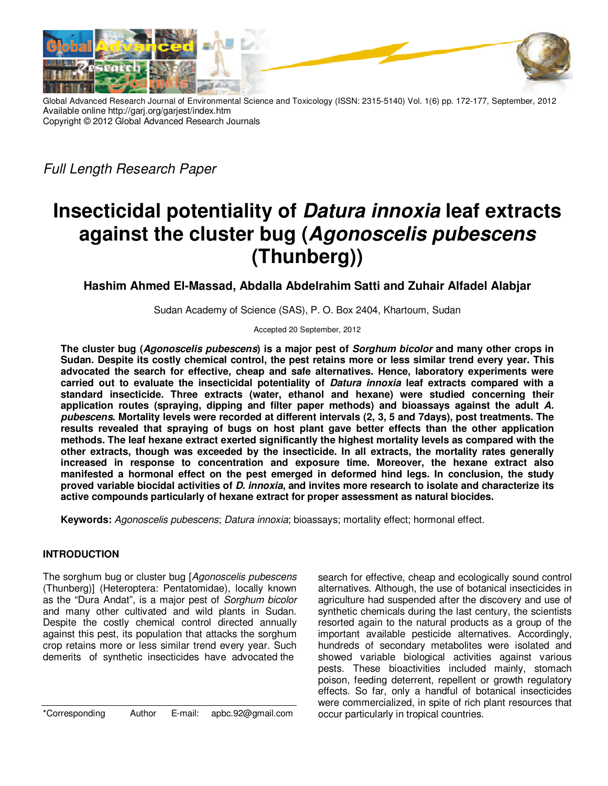

Global Advanced Research Journal of Environmental Science and Toxicology (ISSN: 2315-5140) Vol. 1(6) pp. 172-177, September, 2012 Available online http://garj.org/garjest/index.htm Copyright © 2012 Global Advanced Research Journals

Full Length Research Paper

# **Insecticidal potentiality of Datura innoxia leaf extracts against the cluster bug (Agonoscelis pubescens (Thunberg))**

**Hashim Ahmed El-Massad, Abdalla Abdelrahim Satti and Zuhair Alfadel Alabjar** 

Sudan Academy of Science (SAS), P. O. Box 2404, Khartoum, Sudan

Accepted 20 September, 2012

**The cluster bug (Agonoscelis pubescens) is a major pest of Sorghum bicolor and many other crops in Sudan. Despite its costly chemical control, the pest retains more or less similar trend every year. This advocated the search for effective, cheap and safe alternatives. Hence, laboratory experiments were carried out to evaluate the insecticidal potentiality of Datura innoxia leaf extracts compared with a standard insecticide. Three extracts (water, ethanol and hexane) were studied concerning their application routes (spraying, dipping and filter paper methods) and bioassays against the adult A. pubescens. Mortality levels were recorded at different intervals (2, 3, 5 and 7days), post treatments. The results revealed that spraying of bugs on host plant gave better effects than the other application methods. The leaf hexane extract exerted significantly the highest mortality levels as compared with the other extracts, though was exceeded by the insecticide. In all extracts, the mortality rates generally increased in response to concentration and exposure time. Moreover, the hexane extract also manifested a hormonal effect on the pest emerged in deformed hind legs. In conclusion, the study proved variable biocidal activities of D. innoxia, and invites more research to isolate and characterize its active compounds particularly of hexane extract for proper assessment as natural biocides.** 

**Keywords:** Agonoscelis pubescens; Datura innoxia; bioassays; mortality effect; hormonal effect.

## **INTRODUCTION**

The sorghum bug or cluster bug [Agonoscelis pubescens (Thunberg)] (Heteroptera: Pentatomidae), locally known as the "Dura Andat", is a major pest of Sorghum bicolor and many other cultivated and wild plants in Sudan. Despite the costly chemical control directed annually against this pest, its population that attacks the sorghum crop retains more or less similar trend every year. Such demerits of synthetic insecticides have advocated the

\*Corresponding Author E-mail: apbc.92@gmail.com

search for effective, cheap and ecologically sound control alternatives. Although, the use of botanical insecticides in agriculture had suspended after the discovery and use of synthetic chemicals during the last century, the scientists resorted again to the natural products as a group of the important available pesticide alternatives. Accordingly, hundreds of secondary metabolites were isolated and showed variable biological activities against various pests. These bioactivities included mainly, stomach poison, feeding deterrent, repellent or growth regulatory effects. So far, only a handful of botanical insecticides were commercialized, in spite of rich plant resources that occur particularly in tropical countries.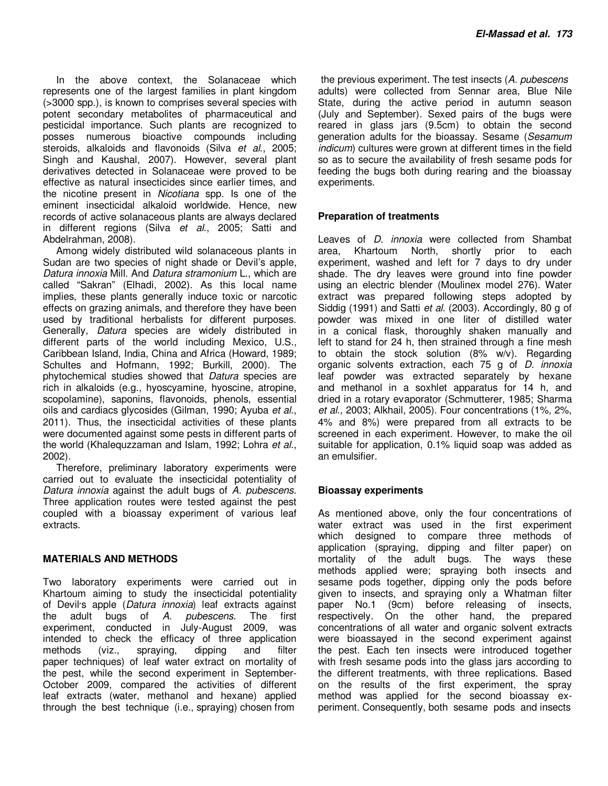In the above context, the Solanaceae which represents one of the largest families in plant kingdom (>3000 spp.), is known to comprises several species with potent secondary metabolites of pharmaceutical and pesticidal importance. Such plants are recognized to posses numerous bioactive compounds including steroids, alkaloids and flavonoids (Silva et al., 2005; Singh and Kaushal, 2007). However, several plant derivatives detected in Solanaceae were proved to be effective as natural insecticides since earlier times, and the nicotine present in Nicotiana spp. Is one of the eminent insecticidal alkaloid worldwide. Hence, new records of active solanaceous plants are always declared in different regions (Silva et al., 2005; Satti and Abdelrahman, 2008).

Among widely distributed wild solanaceous plants in Sudan are two species of night shade or Devil's apple, Datura innoxia Mill. And Datura stramonium L., which are called "Sakran" (Elhadi, 2002). As this local name implies, these plants generally induce toxic or narcotic effects on grazing animals, and therefore they have been used by traditional herbalists for different purposes. Generally, Datura species are widely distributed in different parts of the world including Mexico, U.S., Caribbean Island, India, China and Africa (Howard, 1989; Schultes and Hofmann, 1992; Burkill, 2000). The phytochemical studies showed that Datura species are rich in alkaloids (e.g., hyoscyamine, hyoscine, atropine, scopolamine), saponins, flavonoids, phenols, essential oils and cardiacs glycosides (Gilman, 1990; Ayuba et al., 2011). Thus, the insecticidal activities of these plants were documented against some pests in different parts of the world (Khalequzzaman and Islam, 1992; Lohra et al., 2002).

Therefore, preliminary laboratory experiments were carried out to evaluate the insecticidal potentiality of Datura innoxia against the adult bugs of A. pubescens. Three application routes were tested against the pest coupled with a bioassay experiment of various leaf extracts.

## **MATERIALS AND METHODS**

Two laboratory experiments were carried out in Khartoum aiming to study the insecticidal potentiality of Devil's apple (*Datura innoxia*) leaf extracts against<br>the adult bugs of A. *pubescens*. The first the adult bugs of A. pubescens. The first experiment, conducted in July-August 2009, was intended to check the efficacy of three application methods (viz., spraying, dipping and filter paper techniques) of leaf water extract on mortality of the pest, while the second experiment in September-October 2009, compared the activities of different leaf extracts (water, methanol and hexane) applied through the best technique (i.e., spraying) chosen from

the previous experiment. The test insects (A. *pubescens* adults) were collected from Sennar area, Blue Nile State, during the active period in autumn season (July and September). Sexed pairs of the bugs were reared in glass jars (9.5cm) to obtain the second generation adults for the bioassay. Sesame (Sesamum indicum) cultures were grown at different times in the field so as to secure the availability of fresh sesame pods for feeding the bugs both during rearing and the bioassay experiments.

## **Preparation of treatments**

Leaves of D. innoxia were collected from Shambat area, Khartoum North, shortly prior to each experiment, washed and left for 7 days to dry under shade. The dry leaves were ground into fine powder using an electric blender (Moulinex model 276). Water extract was prepared following steps adopted by Siddig (1991) and Satti et al. (2003). Accordingly, 80 g of powder was mixed in one liter of distilled water in a conical flask, thoroughly shaken manually and left to stand for 24 h, then strained through a fine mesh to obtain the stock solution (8% w/v). Regarding organic solvents extraction, each 75 g of D. innoxia leaf powder was extracted separately by hexane and methanol in a soxhlet apparatus for 14 h, and dried in a rotary evaporator (Schmutterer, 1985; Sharma et al., 2003; Alkhail, 2005). Four concentrations (1%, 2%, 4% and 8%) were prepared from all extracts to be screened in each experiment. However, to make the oil suitable for application, 0.1% liquid soap was added as an emulsifier.

### **Bioassay experiments**

As mentioned above, only the four concentrations of water extract was used in the first experiment which designed to compare three methods of application (spraying, dipping and filter paper) on mortality of the adult bugs. The ways these methods applied were; spraying both insects and sesame pods together, dipping only the pods before given to insects, and spraying only a Whatman filter paper No.1 (9cm) before releasing of insects, respectively. On the other hand, the prepared concentrations of all water and organic solvent extracts were bioassayed in the second experiment against the pest. Each ten insects were introduced together with fresh sesame pods into the glass jars according to the different treatments, with three replications. Based on the results of the first experiment, the spray method was applied for the second bioassay experiment. Consequently, both sesame pods and insects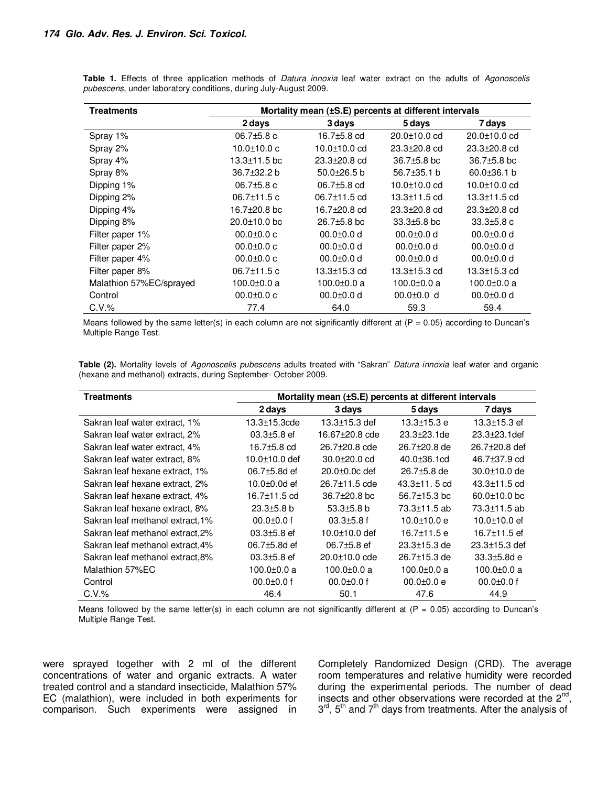| <b>Treatments</b>       | Mortality mean (±S.E) percents at different intervals |                    |                    |                    |  |
|-------------------------|-------------------------------------------------------|--------------------|--------------------|--------------------|--|
|                         | 2 days                                                | 3 days             | 5 days             | 7 days             |  |
| Spray 1%                | $06.7\pm5.8$ c                                        | 16.7±5.8 cd        | 20.0±10.0 cd       | 20.0±10.0 cd       |  |
| Spray 2%                | $10.0 \pm 10.0 c$                                     | 10.0±10.0 cd       | 23.3±20.8 cd       | $23.3 \pm 20.8$ cd |  |
| Spray 4%                | $13.3 \pm 11.5$ bc                                    | $23.3 \pm 20.8$ cd | $36.7\pm5.8$ bc    | $36.7\pm5.8$ bc    |  |
| Spray 8%                | 36.7±32.2 b                                           | $50.0 + 26.5$ b    | $56.7\pm35.1$ b    | $60.0 \pm 36.1$ b  |  |
| Dipping 1%              | $06.7\pm5.8$ c                                        | $06.7 \pm 5.8$ cd  | 10.0±10.0 cd       | $10.0 \pm 10.0$ cd |  |
| Dipping 2%              | $06.7 \pm 11.5$ c                                     | $06.7 \pm 11.5$ cd | 13.3±11.5 cd       | $13.3 \pm 11.5$ cd |  |
| Dipping 4%              | 16.7 $\pm$ 20.8 bc                                    | 16.7±20.8 cd       | $23.3 \pm 20.8$ cd | 23.3±20.8 cd       |  |
| Dipping 8%              | $20.0 \pm 10.0$ bc                                    | 26.7±5.8 bc        | $33.3 \pm 5.8$ bc  | $33.3 \pm 5.8$ c   |  |
| Filter paper 1%         | $00.0 \pm 0.0 c$                                      | $0.0 + 0.0$ d      | $0.0 + 0.0$ d      | $0.0 + 0.0$ d      |  |
| Filter paper 2%         | $00.0 \pm 0.0$ c                                      | $00.0 + 0.0$ d     | $00.0 + 0.0$ d     | $00.0 + 0.0$ d     |  |
| Filter paper 4%         | $00.0 \pm 0.0$ c                                      | $00.0 + 0.0$ d     | $0.0 + 0.0$ d      | $00.0 + 0.0$ d     |  |
| Filter paper 8%         | $06.7 \pm 11.5$ c                                     | 13.3±15.3 cd       | 13.3±15.3 cd       | $13.3 \pm 15.3$ cd |  |
| Malathion 57%EC/sprayed | 100.0±0.0 a                                           | 100.0 $\pm$ 0.0 a  | 100.0±0.0 a        | $100.0 \pm 0.0 a$  |  |
| Control                 | $00.0 \pm 0.0$ c                                      | $00.0 + 0.0$ d     | $00.0 \pm 0.0$ d   | $00.0 + 0.0$ d     |  |
| $C.V.$ %                | 77.4                                                  | 64.0               | 59.3               | 59.4               |  |

**Table 1.** Effects of three application methods of Datura innoxia leaf water extract on the adults of Agonoscelis pubescens, under laboratory conditions, during July-August 2009.

Means followed by the same letter(s) in each column are not significantly different at  $(P = 0.05)$  according to Duncan's Multiple Range Test.

Table (2). Mortality levels of Agonoscelis pubescens adults treated with "Sakran" Datura innoxia leaf water and organic (hexane and methanol) extracts, during September- October 2009.

| <b>Treatments</b>                | Mortality mean (±S.E) percents at different intervals |                           |                    |                     |  |
|----------------------------------|-------------------------------------------------------|---------------------------|--------------------|---------------------|--|
|                                  | 2 days                                                | 3 days                    | 5 days             | 7 days              |  |
| Sakran leaf water extract, 1%    | 13.3±15.3cde                                          | $13.3 \pm 15.3$ def       | $13.3 \pm 15.3$ e  | $13.3 \pm 15.3$ ef  |  |
| Sakran leaf water extract, 2%    | $03.3 + 5.8$ ef                                       | 16.67±20.8 cde            | $23.3 \pm 23.1$ de | $23.3 + 23.1$ def   |  |
| Sakran leaf water extract, 4%    | 16.7 $±5.8$ cd                                        | 26.7 <sup>+20.8</sup> cde | 26.7±20.8 de       | 26.7±20.8 def       |  |
| Sakran leaf water extract, 8%    | $10.0 \pm 10.0$ def                                   | $30.0 \pm 20.0$ cd        | $40.0 \pm 36.1$ cd | 46.7±37.9 cd        |  |
| Sakran leaf hexane extract, 1%   | $06.7 \pm 5.8$ d ef                                   | $20.0 \pm 0.0c$ def       | $26.7\pm5.8$ de    | 30.0±10.0 de        |  |
| Sakran leaf hexane extract, 2%   | 10.0 $\pm$ 0.0d ef                                    | 26.7±11.5 cde             | $43.3 \pm 11.5$ cd | 43.3±11.5 cd        |  |
| Sakran leaf hexane extract, 4%   | 16.7±11.5 cd                                          | $36.7 \pm 20.8$ bc        | $56.7 \pm 15.3$ bc | $60.0 \pm 10.0$ bc  |  |
| Sakran leaf hexane extract, 8%   | $23.3 \pm 5.8$ b                                      | $53.3 + 5.8$ b            | 73.3±11.5 ab       | 73.3±11.5 ab        |  |
| Sakran leaf methanol extract, 1% | $00.0 \pm 0.0$ f                                      | $03.3 + 5.8$ f            | $10.0 \pm 10.0 e$  | 10.0 $\pm$ 10.0 ef  |  |
| Sakran leaf methanol extract.2%  | $03.3 \pm 5.8$ ef                                     | $10.0 \pm 10.0$ def       | $16.7 \pm 11.5$ e  | 16.7±11.5 ef        |  |
| Sakran leaf methanol extract, 4% | 06.7±5.8d ef                                          | $06.7\pm5.8$ ef           | $23.3 \pm 15.3$ de | $23.3 \pm 15.3$ def |  |
| Sakran leaf methanol extract, 8% | $03.3 + 5.8$ ef                                       | $20.0 \pm 10.0$ cde       | 26.7±15.3 de       | $33.3 \pm 5.8$ d e  |  |
| Malathion 57%EC                  | 100.0±0.0 a                                           | 100.0±0.0 a               | 100.0±0.0 a        | 100.0 $\pm$ 0.0 a   |  |
| Control                          | $00.0 + 0.0$ f                                        | $00.0 \pm 0.0$ f          | $00.0 \pm 0.0 e$   | $00.0 \pm 0.0$ f    |  |
| $C.V.$ %                         | 46.4                                                  | 50.1                      | 47.6               | 44.9                |  |

Means followed by the same letter(s) in each column are not significantly different at  $(P = 0.05)$  according to Duncan's Multiple Range Test.

were sprayed together with 2 ml of the different concentrations of water and organic extracts. A water treated control and a standard insecticide, Malathion 57% EC (malathion), were included in both experiments for comparison. Such experiments were assigned in Completely Randomized Design (CRD). The average room temperatures and relative humidity were recorded during the experimental periods. The number of dead insects and other observations were recorded at the  $2^{nd}$ , 3<sup>rd</sup>, 5<sup>th</sup> and 7<sup>th</sup> days from treatments. After the analysis of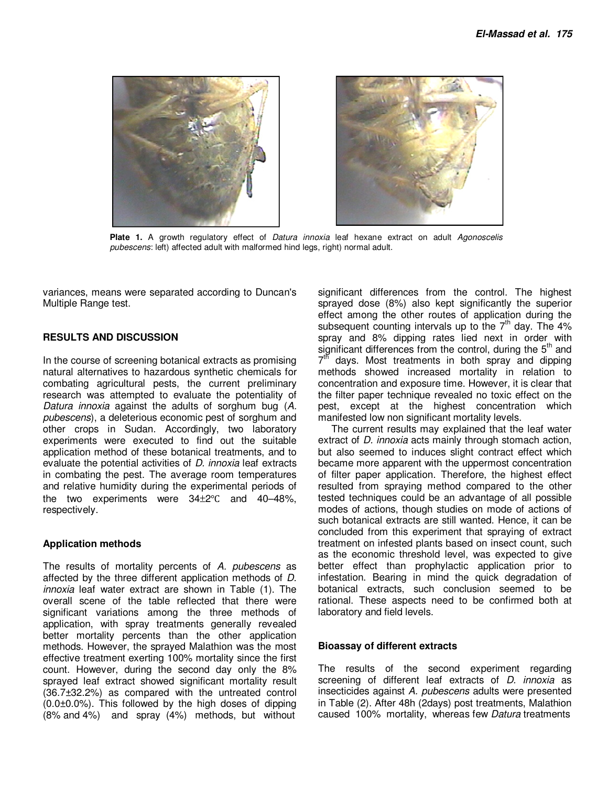



Plate 1. A growth regulatory effect of Datura innoxia leaf hexane extract on adult Agonoscelis pubescens: left) affected adult with malformed hind legs, right) normal adult.

variances, means were separated according to Duncan's Multiple Range test.

#### **RESULTS AND DISCUSSION**

In the course of screening botanical extracts as promising natural alternatives to hazardous synthetic chemicals for combating agricultural pests, the current preliminary research was attempted to evaluate the potentiality of Datura innoxia against the adults of sorghum bug (A. pubescens), a deleterious economic pest of sorghum and other crops in Sudan. Accordingly, two laboratory experiments were executed to find out the suitable application method of these botanical treatments, and to evaluate the potential activities of *D. innoxia* leaf extracts in combating the pest. The average room temperatures and relative humidity during the experimental periods of the two experiments were 34±2℃ and 40–48%, respectively.

#### **Application methods**

The results of mortality percents of A. pubescens as affected by the three different application methods of D. innoxia leaf water extract are shown in Table (1). The overall scene of the table reflected that there were significant variations among the three methods of application, with spray treatments generally revealed better mortality percents than the other application methods. However, the sprayed Malathion was the most effective treatment exerting 100% mortality since the first count. However, during the second day only the 8% sprayed leaf extract showed significant mortality result (36.7±32.2%) as compared with the untreated control (0.0±0.0%). This followed by the high doses of dipping (8% and 4%) and spray (4%) methods, but without

significant differences from the control. The highest sprayed dose (8%) also kept significantly the superior effect among the other routes of application during the subsequent counting intervals up to the  $7<sup>th</sup>$  day. The  $4\%$ spray and 8% dipping rates lied next in order with significant differences from the control, during the  $5<sup>th</sup>$  and 7<sup>th</sup> days. Most treatments in both spray and dipping methods showed increased mortality in relation to concentration and exposure time. However, it is clear that the filter paper technique revealed no toxic effect on the pest, except at the highest concentration which manifested low non significant mortality levels.

The current results may explained that the leaf water extract of *D. innoxia* acts mainly through stomach action, but also seemed to induces slight contract effect which became more apparent with the uppermost concentration of filter paper application. Therefore, the highest effect resulted from spraying method compared to the other tested techniques could be an advantage of all possible modes of actions, though studies on mode of actions of such botanical extracts are still wanted. Hence, it can be concluded from this experiment that spraying of extract treatment on infested plants based on insect count, such as the economic threshold level, was expected to give better effect than prophylactic application prior to infestation. Bearing in mind the quick degradation of botanical extracts, such conclusion seemed to be rational. These aspects need to be confirmed both at laboratory and field levels.

#### **Bioassay of different extracts**

The results of the second experiment regarding screening of different leaf extracts of *D. innoxia* as insecticides against A. pubescens adults were presented in Table (2). After 48h (2days) post treatments, Malathion caused 100% mortality, whereas few Datura treatments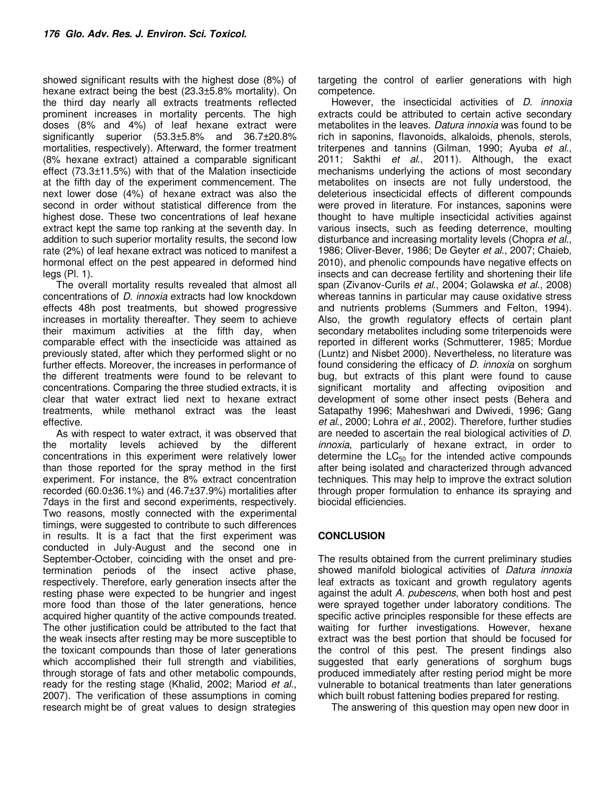showed significant results with the highest dose (8%) of hexane extract being the best (23.3±5.8% mortality). On the third day nearly all extracts treatments reflected prominent increases in mortality percents. The high doses (8% and 4%) of leaf hexane extract were significantly superior (53.3±5.8% and 36.7±20.8% mortalities, respectively). Afterward, the former treatment (8% hexane extract) attained a comparable significant effect (73.3±11.5%) with that of the Malation insecticide at the fifth day of the experiment commencement. The next lower dose (4%) of hexane extract was also the second in order without statistical difference from the highest dose. These two concentrations of leaf hexane extract kept the same top ranking at the seventh day. In addition to such superior mortality results, the second low rate (2%) of leaf hexane extract was noticed to manifest a hormonal effect on the pest appeared in deformed hind legs (Pl. 1).

The overall mortality results revealed that almost all concentrations of D. innoxia extracts had low knockdown effects 48h post treatments, but showed progressive increases in mortality thereafter. They seem to achieve their maximum activities at the fifth day, when comparable effect with the insecticide was attained as previously stated, after which they performed slight or no further effects. Moreover, the increases in performance of the different treatments were found to be relevant to concentrations. Comparing the three studied extracts, it is clear that water extract lied next to hexane extract treatments, while methanol extract was the least effective.

As with respect to water extract, it was observed that the mortality levels achieved by the different concentrations in this experiment were relatively lower than those reported for the spray method in the first experiment. For instance, the 8% extract concentration recorded (60.0±36.1%) and (46.7±37.9%) mortalities after 7days in the first and second experiments, respectively. Two reasons, mostly connected with the experimental timings, were suggested to contribute to such differences in results. It is a fact that the first experiment was conducted in July-August and the second one in September-October, coinciding with the onset and pretermination periods of the insect active phase, respectively. Therefore, early generation insects after the resting phase were expected to be hungrier and ingest more food than those of the later generations, hence acquired higher quantity of the active compounds treated. The other justification could be attributed to the fact that the weak insects after resting may be more susceptible to the toxicant compounds than those of later generations which accomplished their full strength and viabilities, through storage of fats and other metabolic compounds, ready for the resting stage (Khalid, 2002; Mariod et al., 2007). The verification of these assumptions in coming research might be of great values to design strategies

targeting the control of earlier generations with high competence.

However, the insecticidal activities of D. innoxia extracts could be attributed to certain active secondary metabolites in the leaves. Datura innoxia was found to be rich in saponins, flavonoids, alkaloids, phenols, sterols, triterpenes and tannins (Gilman, 1990; Ayuba et al., 2011; Sakthi et al., 2011). Although, the exact mechanisms underlying the actions of most secondary metabolites on insects are not fully understood, the deleterious insecticidal effects of different compounds were proved in literature. For instances, saponins were thought to have multiple insecticidal activities against various insects, such as feeding deterrence, moulting disturbance and increasing mortality levels (Chopra et al., 1986; Oliver-Bever, 1986; De Geyter et al., 2007; Chaieb, 2010), and phenolic compounds have negative effects on insects and can decrease fertility and shortening their life span (Zivanov-Curils et al., 2004; Golawska et al., 2008) whereas tannins in particular may cause oxidative stress and nutrients problems (Summers and Felton, 1994). Also, the growth regulatory effects of certain plant secondary metabolites including some triterpenoids were reported in different works (Schmutterer, 1985; Mordue (Luntz) and Nisbet 2000). Nevertheless, no literature was found considering the efficacy of D. innoxia on sorghum bug, but extracts of this plant were found to cause significant mortality and affecting oviposition and development of some other insect pests (Behera and Satapathy 1996; Maheshwari and Dwivedi, 1996; Gang et al., 2000; Lohra et al., 2002). Therefore, further studies are needed to ascertain the real biological activities of D. innoxia, particularly of hexane extract, in order to determine the  $LC_{50}$  for the intended active compounds after being isolated and characterized through advanced techniques. This may help to improve the extract solution through proper formulation to enhance its spraying and biocidal efficiencies.

## **CONCLUSION**

The results obtained from the current preliminary studies showed manifold biological activities of Datura innoxia leaf extracts as toxicant and growth regulatory agents against the adult A. pubescens, when both host and pest were sprayed together under laboratory conditions. The specific active principles responsible for these effects are waiting for further investigations. However, hexane extract was the best portion that should be focused for the control of this pest. The present findings also suggested that early generations of sorghum bugs produced immediately after resting period might be more vulnerable to botanical treatments than later generations which built robust fattening bodies prepared for resting.

The answering of this question may open new door in